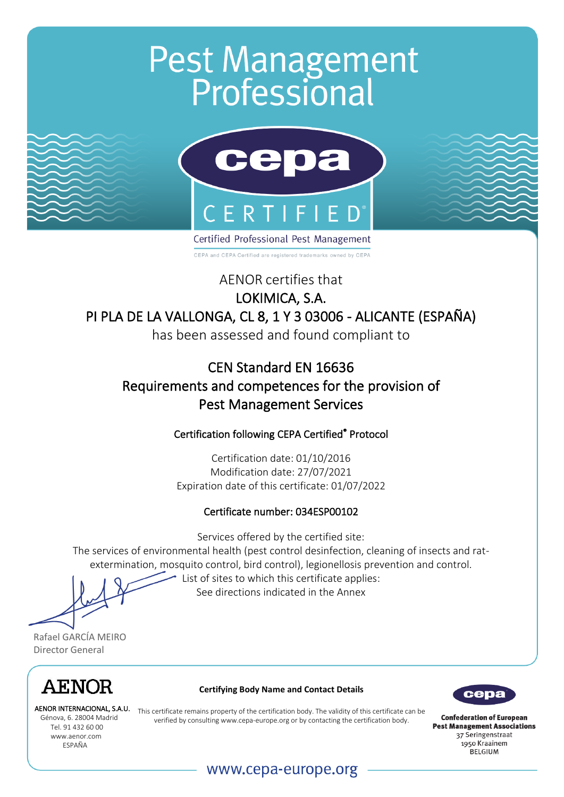# **Pest Management**<br>**Professional**



CEPA and CEPA Certified are registered trademarks owned by CEPA

AENOR certifies that

### LOKIMICA, S.A. PI PLA DE LA VALLONGA, CL 8, 1 Y 3 03006 - ALICANTE (ESPAÑA)

has been assessed and found compliant to

# CEN Standard EN 16636 Requirements and competences for the provision of Pest Management Services

#### Certification following CEPA Certified® Protocol

Certification date: 01/10/2016 Modification date: 27/07/2021 Expiration date of this certificate: 01/07/2022

#### Certificate number: 034ESP00102

Services offered by the certified site:

The services of environmental health (pest control desinfection, cleaning of insects and ratextermination, mosquito control, bird control), legionellosis prevention and control.

List of sites to which this certificate applies: See directions indicated in the Annex

Rafael GARCÍA MEIRO Director General



AENOR INTERNACIONAL, S.A.U. Tel. 91 432 60 00 www.aenor.com ESPAÑA

#### **Certifying Body Name and Contact Details**

ENUR INTERNACIONAL, S.A.U. This certificate remains property of the certification body. The validity of this certificate can be<br>Génova, 6. 28004 Madrid verified by consulting www.cepa-europe org or by contacting the certif verified by consultin[g www.cepa-europe.org](http://www.cepa-europe.org/) or by contacting the certification body.



### www.cepa-europe.org